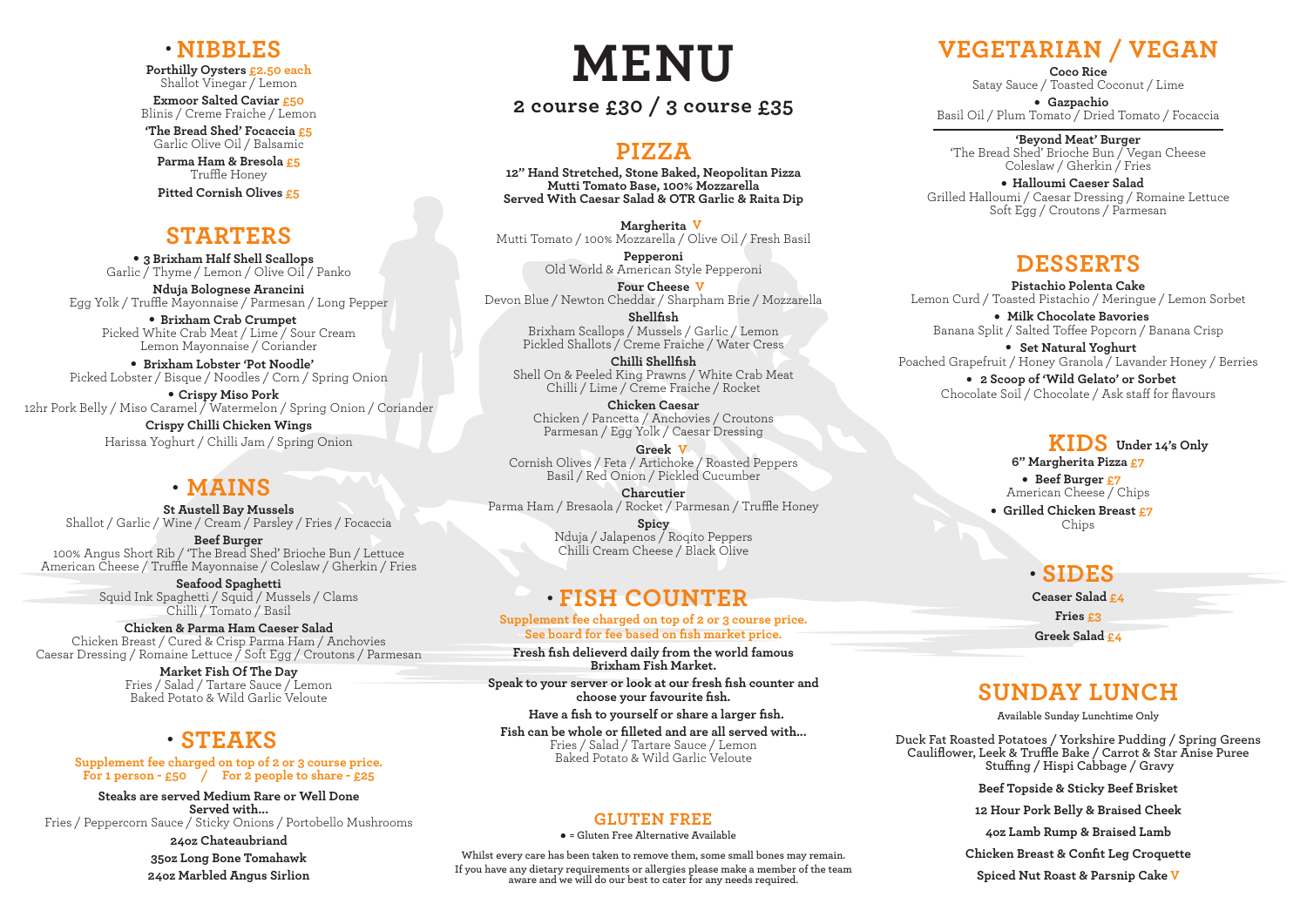# **2 course £30 / 3 course £35**

**Porthilly Oysters £2.50 each** Shallot Vinegar / Lemon

# **MENU NIBBLES**

**Exmoor Salted Caviar £50** Blinis / Creme Fraiche / Lemon

**3 Brixham Half Shell Scallops .** Garlic / Thyme / Lemon / Olive Oil / Panko

**'The Bread Shed' Focaccia £5** Garlic Olive Oil / Balsamic

**Parma Ham & Bresola £5** Truffle Honey

**Pitted Cornish Olives £5**

**Brixham Lobster 'Pot Noodle'** Picked Lobster / Bisque / Noodles / Corn / Spring Onion **.** Lemor<br>• Brixh<br>ster / Bi<br>•

**Nduja Bolognese Arancini**

Egg Yolk / Truffle Mayonnaise / Parmesan / Long Pepper **. Brixham Crab Crumpet** Picked White Crab Meat / Lime / Sour Cream Lemon Mayonnaise / Coriander

**Crispy Miso Pork** 12hr Pork Belly / Miso Caramel / Watermelon / Spring Onion / Coriander

> **Crispy Chilli Chicken Wings**  Harissa Yoghurt / Chilli Jam / Spring Onion

#### **STARTERS**

**St Austell Bay Mussels** Shallot / Garlic / Wine / Cream / Parsley / Fries / Focaccia

**Beef Burger** 100% Angus Short Rib / 'The Bread Shed' Brioche Bun / Lettuce American Cheese / Truffle Mayonnaise / Coleslaw / Gherkin / Fries

> **Seafood Spaghetti** Squid Ink Spaghetti / Squid / Mussels / Clams Chilli / Tomato / Basil

**Chicken & Parma Ham Caeser Salad** Chicken Breast / Cured & Crisp Parma Ham / Anchovies Caesar Dressing / Romaine Lettuce / Soft Egg / Croutons / Parmesan

> **Market Fish Of The Day** Fries / Salad / Tartare Sauce / Lemon Baked Potato & Wild Garlic Veloute

**Supplement fee charged on top of 2 or 3 course price. For 1 person - £50 / For 2 people to share - £25**

**Coco Rice** Satay Sauce / Toasted Coconut / Lime e / Toasted Co<br>**• Gazpachio** 

**Steaks are served Medium Rare or Well Done Served with...** Fries / Peppercorn Sauce / Sticky Onions / Portobello Mushrooms **24oz Chateaubriand 35oz Long Bone Tomahawk 24oz Marbled Angus Sirlion**

Coleslaw / Gherkin / Frie<br>• **Halloumi Caeser Salad** Grilled Halloumi / Caesar Dressing / Romaine Lettuce Soft Egg / Croutons / Parmesan

**Fresh fish delieverd daily from the world famous Brixham Fish Market.**

**Set Natural Yoghurt** Poached Grapefruit / Honey Granola / Lavander Honey / Berries **2 Scoop of 'Wild Gelato' or Sorbet** Chocolate Soil / Chocolate / Ask staff for flavours **. .** Split<br>**. . . . . 2 Sco** 

**Speak to your server or look at our fresh fish counter and choose your favourite fish.**

 **Have a fish to yourself or share a larger fish.**

**Fish can be whole or filleted and are all served with...**  Fries / Salad / Tartare Sauce / Lemon Baked Potato & Wild Garlic Veloute

**Supplement fee charged on top of 2 or 3 course price. See board for fee based on fish market price.**

**12" Hand Stretched, Stone Baked, Neopolitan Pizza Mutti Tomato Base, 100% Mozzarella Served With Caesar Salad & OTR Garlic & Raita Dip**

**Margherita V** Mutti Tomato / 100% Mozzarella / Olive Oil / Fresh Basil

> **Pepperoni** Old World & American Style Pepperoni

**Four Cheese V** Devon Blue / Newton Cheddar / Sharpham Brie / Mozzarella **Shellfish**

Brixham Scallops / Mussels / Garlic / Lemon Pickled Shallots / Creme Fraiche / Water Cress

**Chilli Shellfish** Shell On & Peeled King Prawns / White Crab Meat Chilli / Lime / Creme Fraiche / Rocket

# **MAINS .**

**Chicken Caesar** Chicken / Pancetta / Anchovies / Croutons Parmesan / Egg Yolk / Caesar Dressing

**Greek V** Cornish Olives / Feta / Artichoke / Roasted Peppers Basil / Red Onion / Pickled Cucumber

**Charcutier** Parma Ham / Bresaola / Rocket / Parmesan / Truffle Honey

**Spicy** Nduja / Jalapenos / Roqito Peppers Chilli Cream Cheese / Black Olive

#### **PIZZA**

# **STEAKS .**

Basil Oil / Plum Tomato / Dried Tomato / Focaccia

# **FISH COUNTER .**

**'Beyond Meat' Burger** 'The Bread Shed' Brioche Bun / Vegan Cheese Coleslaw / Gherkin / Fries

# **VEGETARIAN / VEGAN**

**Milk Chocolate Bavories** Banana Split / Salted Toffee Popcorn / Banana Crisp

#### **DESSERTS**

**Duck Fat Roasted Potatoes / Yorkshire Pudding / Spring Greens Cauliflower, Leek & Truffle Bake / Carrot & Star Anise Puree Stuffing / Hispi Cabbage / Gravy**

**Beef Topside & Sticky Beef Brisket**

**12 Hour Pork Belly & Braised Cheek**

**4oz Lamb Rump & Braised Lamb**

**Pistachio Polenta Cake** Lemon Curd / Toasted Pistachio / Meringue / Lemon Sorbet **.**

**Chicken Breast & Confit Leg Croquette**

**Spiced Nut Roast & Parsnip Cake V**

# **SUNDAY LUNCH**

**Available Sunday Lunchtime Only**

**6" Margherita Pizza £7 A** Margherita Pizz<br>• Beef Burger <mark>£7</mark> American Cheese / Chips American Cheese / Chips<br>**• Grilled Chicken Breast <u>£</u>7** Chips

#### **KIDS Under 14's Only**

**GLUTEN FREE . = Gluten Free Alternative Available**

**Whilst every care has been taken to remove them, some small bones may remain. If you have any dietary requirements or allergies please make a member of the team aware and we will do our best to cater for any needs required.**

**Ceaser Salad £4 Fries £3 Greek Salad £4**

# **SIDES .**

#### **.**